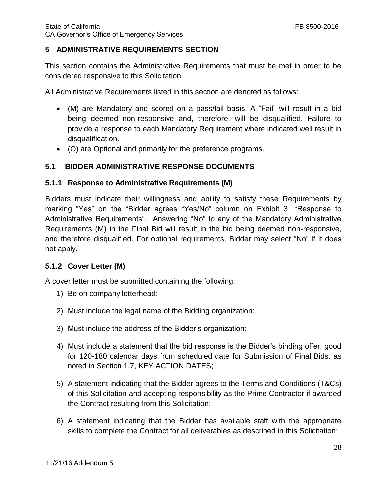#### **5 ADMINISTRATIVE REQUIREMENTS SECTION**

This section contains the Administrative Requirements that must be met in order to be considered responsive to this Solicitation.

All Administrative Requirements listed in this section are denoted as follows:

- (M) are Mandatory and scored on a pass/fail basis. A "Fail" will result in a bid being deemed non-responsive and, therefore, will be disqualified. Failure to provide a response to each Mandatory Requirement where indicated well result in disqualification.
- (O) are Optional and primarily for the preference programs.

#### **5.1 BIDDER ADMINISTRATIVE RESPONSE DOCUMENTS**

#### **5.1.1 Response to Administrative Requirements (M)**

Bidders must indicate their willingness and ability to satisfy these Requirements by marking "Yes" on the "Bidder agrees "Yes/No" column on Exhibit 3, "Response to Administrative Requirements". Answering "No" to any of the Mandatory Administrative Requirements (M) in the Final Bid will result in the bid being deemed non-responsive, and therefore disqualified. For optional requirements, Bidder may select "No" if it does not apply.

#### **5.1.2 Cover Letter (M)**

A cover letter must be submitted containing the following:

- 1) Be on company letterhead;
- 2) Must include the legal name of the Bidding organization;
- 3) Must include the address of the Bidder's organization;
- 4) Must include a statement that the bid response is the Bidder's binding offer, good for 120-180 calendar days from scheduled date for Submission of Final Bids, as noted in Section 1.7, KEY ACTION DATES;
- 5) A statement indicating that the Bidder agrees to the Terms and Conditions (T&Cs) of this Solicitation and accepting responsibility as the Prime Contractor if awarded the Contract resulting from this Solicitation;
- 6) A statement indicating that the Bidder has available staff with the appropriate skills to complete the Contract for all deliverables as described in this Solicitation;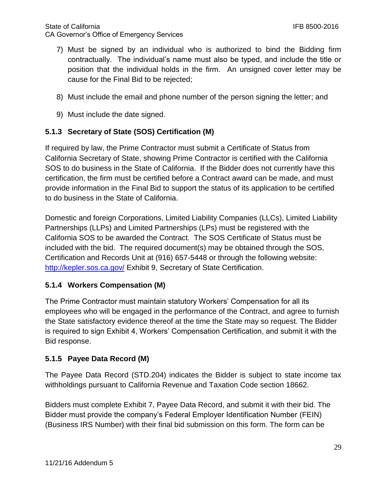- 7) Must be signed by an individual who is authorized to bind the Bidding firm contractually. The individual's name must also be typed, and include the title or position that the individual holds in the firm. An unsigned cover letter may be cause for the Final Bid to be rejected;
- 8) Must include the email and phone number of the person signing the letter; and
- 9) Must include the date signed.

## **5.1.3 Secretary of State (SOS) Certification (M)**

If required by law, the Prime Contractor must submit a Certificate of Status from California Secretary of State, showing Prime Contractor is certified with the California SOS to do business in the State of California. If the Bidder does not currently have this certification, the firm must be certified before a Contract award can be made, and must provide information in the Final Bid to support the status of its application to be certified to do business in the State of California.

Domestic and foreign Corporations, Limited Liability Companies (LLCs), Limited Liability Partnerships (LLPs) and Limited Partnerships (LPs) must be registered with the California SOS to be awarded the Contract. The SOS Certificate of Status must be included with the bid. The required document(s) may be obtained through the SOS, Certification and Records Unit at (916) 657-5448 or through the following website: <http://kepler.sos.ca.gov/> Exhibit 9, Secretary of State Certification.

#### **5.1.4 Workers Compensation (M)**

The Prime Contractor must maintain statutory Workers' Compensation for all its employees who will be engaged in the performance of the Contract, and agree to furnish the State satisfactory evidence thereof at the time the State may so request. The Bidder is required to sign Exhibit 4, Workers' Compensation Certification, and submit it with the Bid response.

#### **5.1.5 Payee Data Record (M)**

The Payee Data Record (STD.204) indicates the Bidder is subject to state income tax withholdings pursuant to California Revenue and Taxation Code section 18662.

Bidders must complete Exhibit 7, Payee Data Record, and submit it with their bid. The Bidder must provide the company's Federal Employer Identification Number (FEIN) (Business IRS Number) with their final bid submission on this form. The form can be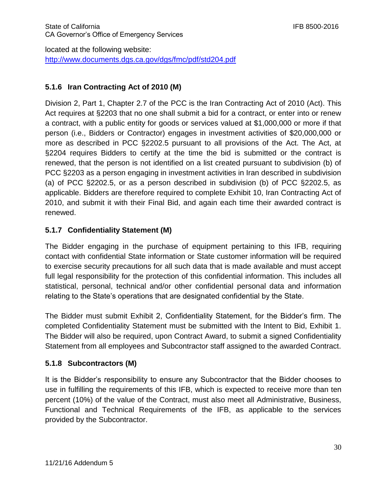located at the following website: <http://www.documents.dgs.ca.gov/dgs/fmc/pdf/std204.pdf>

# **5.1.6 Iran Contracting Act of 2010 (M)**

Division 2, Part 1, Chapter 2.7 of the PCC is the Iran Contracting Act of 2010 (Act). This Act requires at §2203 that no one shall submit a bid for a contract, or enter into or renew a contract, with a public entity for goods or services valued at \$1,000,000 or more if that person (i.e., Bidders or Contractor) engages in investment activities of \$20,000,000 or more as described in PCC §2202.5 pursuant to all provisions of the Act. The Act, at §2204 requires Bidders to certify at the time the bid is submitted or the contract is renewed, that the person is not identified on a list created pursuant to subdivision (b) of PCC §2203 as a person engaging in investment activities in Iran described in subdivision (a) of PCC §2202.5, or as a person described in subdivision (b) of PCC §2202.5, as applicable. Bidders are therefore required to complete Exhibit 10, Iran Contracting Act of 2010, and submit it with their Final Bid, and again each time their awarded contract is renewed.

# **5.1.7 Confidentiality Statement (M)**

The Bidder engaging in the purchase of equipment pertaining to this IFB, requiring contact with confidential State information or State customer information will be required to exercise security precautions for all such data that is made available and must accept full legal responsibility for the protection of this confidential information. This includes all statistical, personal, technical and/or other confidential personal data and information relating to the State's operations that are designated confidential by the State.

The Bidder must submit Exhibit 2, Confidentiality Statement, for the Bidder's firm. The completed Confidentiality Statement must be submitted with the Intent to Bid, Exhibit 1. The Bidder will also be required, upon Contract Award, to submit a signed Confidentiality Statement from all employees and Subcontractor staff assigned to the awarded Contract.

## **5.1.8 Subcontractors (M)**

It is the Bidder's responsibility to ensure any Subcontractor that the Bidder chooses to use in fulfilling the requirements of this IFB, which is expected to receive more than ten percent (10%) of the value of the Contract, must also meet all Administrative, Business, Functional and Technical Requirements of the IFB, as applicable to the services provided by the Subcontractor.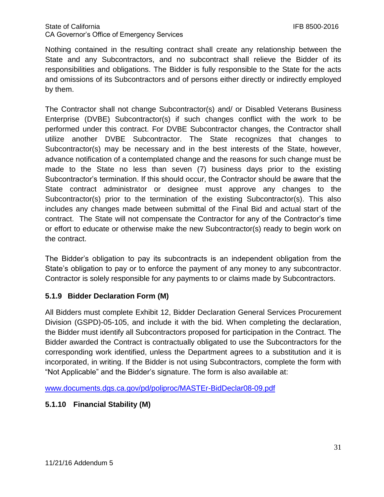Nothing contained in the resulting contract shall create any relationship between the State and any Subcontractors, and no subcontract shall relieve the Bidder of its responsibilities and obligations. The Bidder is fully responsible to the State for the acts and omissions of its Subcontractors and of persons either directly or indirectly employed by them.

The Contractor shall not change Subcontractor(s) and/ or Disabled Veterans Business Enterprise (DVBE) Subcontractor(s) if such changes conflict with the work to be performed under this contract. For DVBE Subcontractor changes, the Contractor shall utilize another DVBE Subcontractor. The State recognizes that changes to Subcontractor(s) may be necessary and in the best interests of the State, however, advance notification of a contemplated change and the reasons for such change must be made to the State no less than seven (7) business days prior to the existing Subcontractor's termination. If this should occur, the Contractor should be aware that the State contract administrator or designee must approve any changes to the Subcontractor(s) prior to the termination of the existing Subcontractor(s). This also includes any changes made between submittal of the Final Bid and actual start of the contract. The State will not compensate the Contractor for any of the Contractor's time or effort to educate or otherwise make the new Subcontractor(s) ready to begin work on the contract.

The Bidder's obligation to pay its subcontracts is an independent obligation from the State's obligation to pay or to enforce the payment of any money to any subcontractor. Contractor is solely responsible for any payments to or claims made by Subcontractors.

## **5.1.9 Bidder Declaration Form (M)**

All Bidders must complete Exhibit 12, Bidder Declaration General Services Procurement Division (GSPD)-05-105, and include it with the bid. When completing the declaration, the Bidder must identify all Subcontractors proposed for participation in the Contract. The Bidder awarded the Contract is contractually obligated to use the Subcontractors for the corresponding work identified, unless the Department agrees to a substitution and it is incorporated, in writing. If the Bidder is not using Subcontractors, complete the form with "Not Applicable" and the Bidder's signature. The form is also available at:

[www.documents.dgs.ca.gov/pd/poliproc/MASTEr-BidDeclar08-09.pdf](http://www.documents.dgs.ca.gov/pd/poliproc/MASTEr-BidDeclar08-09.pdf)

# **5.1.10 Financial Stability (M)**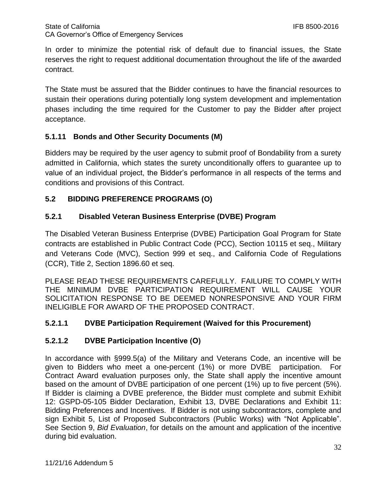In order to minimize the potential risk of default due to financial issues, the State reserves the right to request additional documentation throughout the life of the awarded contract.

The State must be assured that the Bidder continues to have the financial resources to sustain their operations during potentially long system development and implementation phases including the time required for the Customer to pay the Bidder after project acceptance.

## **5.1.11 Bonds and Other Security Documents (M)**

Bidders may be required by the user agency to submit proof of Bondability from a surety admitted in California, which states the surety unconditionally offers to guarantee up to value of an individual project, the Bidder's performance in all respects of the terms and conditions and provisions of this Contract.

### **5.2 BIDDING PREFERENCE PROGRAMS (O)**

### **5.2.1 Disabled Veteran Business Enterprise (DVBE) Program**

The Disabled Veteran Business Enterprise (DVBE) Participation Goal Program for State contracts are established in Public Contract Code (PCC), Section 10115 et seq., Military and Veterans Code (MVC), Section 999 et seq., and California Code of Regulations (CCR), Title 2, Section 1896.60 et seq.

PLEASE READ THESE REQUIREMENTS CAREFULLY. FAILURE TO COMPLY WITH THE MINIMUM DVBE PARTICIPATION REQUIREMENT WILL CAUSE YOUR SOLICITATION RESPONSE TO BE DEEMED NONRESPONSIVE AND YOUR FIRM INELIGIBLE FOR AWARD OF THE PROPOSED CONTRACT.

#### **5.2.1.1 DVBE Participation Requirement (Waived for this Procurement)**

#### **5.2.1.2 DVBE Participation Incentive (O)**

In accordance with §999.5(a) of the Military and Veterans Code, an incentive will be given to Bidders who meet a one-percent (1%) or more DVBE participation. For Contract Award evaluation purposes only, the State shall apply the incentive amount based on the amount of DVBE participation of one percent (1%) up to five percent (5%). If Bidder is claiming a DVBE preference, the Bidder must complete and submit Exhibit 12: GSPD-05-105 Bidder Declaration, Exhibit 13, DVBE Declarations and Exhibit 11: Bidding Preferences and Incentives. If Bidder is not using subcontractors, complete and sign Exhibit 5, List of Proposed Subcontractors (Public Works) with "Not Applicable". See Section 9, *Bid Evaluation*, for details on the amount and application of the incentive during bid evaluation.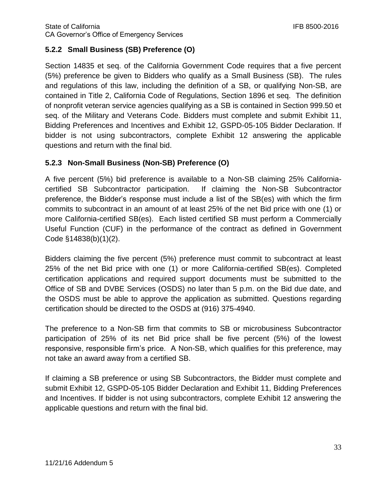## **5.2.2 Small Business (SB) Preference (O)**

Section 14835 et seq. of the California Government Code requires that a five percent (5%) preference be given to Bidders who qualify as a Small Business (SB). The rules and regulations of this law, including the definition of a SB, or qualifying Non-SB, are contained in Title 2, California Code of Regulations, Section 1896 et seq. The definition of nonprofit veteran service agencies qualifying as a SB is contained in Section 999.50 et seq. of the Military and Veterans Code. Bidders must complete and submit Exhibit 11, Bidding Preferences and Incentives and Exhibit 12, GSPD-05-105 Bidder Declaration. If bidder is not using subcontractors, complete Exhibit 12 answering the applicable questions and return with the final bid.

## **5.2.3 Non-Small Business (Non-SB) Preference (O)**

A five percent (5%) bid preference is available to a Non-SB claiming 25% Californiacertified SB Subcontractor participation. If claiming the Non-SB Subcontractor preference, the Bidder's response must include a list of the SB(es) with which the firm commits to subcontract in an amount of at least 25% of the net Bid price with one (1) or more California-certified SB(es). Each listed certified SB must perform a Commercially Useful Function (CUF) in the performance of the contract as defined in Government Code §14838(b)(1)(2).

Bidders claiming the five percent (5%) preference must commit to subcontract at least 25% of the net Bid price with one (1) or more California-certified SB(es). Completed certification applications and required support documents must be submitted to the Office of SB and DVBE Services (OSDS) no later than 5 p.m. on the Bid due date, and the OSDS must be able to approve the application as submitted. Questions regarding certification should be directed to the OSDS at (916) 375-4940.

The preference to a Non-SB firm that commits to SB or microbusiness Subcontractor participation of 25% of its net Bid price shall be five percent (5%) of the lowest responsive, responsible firm's price. A Non-SB, which qualifies for this preference, may not take an award away from a certified SB.

If claiming a SB preference or using SB Subcontractors, the Bidder must complete and submit Exhibit 12, GSPD-05-105 Bidder Declaration and Exhibit 11, Bidding Preferences and Incentives. If bidder is not using subcontractors, complete Exhibit 12 answering the applicable questions and return with the final bid.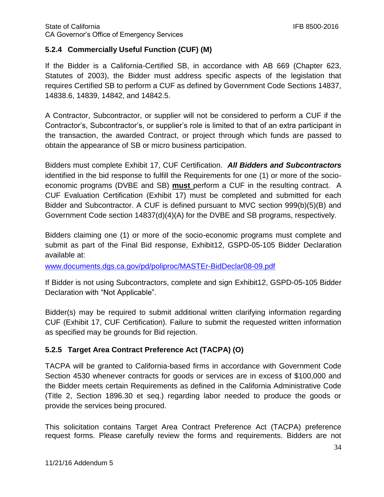## **5.2.4 Commercially Useful Function (CUF) (M)**

If the Bidder is a California-Certified SB, in accordance with AB 669 (Chapter 623, Statutes of 2003), the Bidder must address specific aspects of the legislation that requires Certified SB to perform a CUF as defined by Government Code Sections 14837, 14838.6, 14839, 14842, and 14842.5.

A Contractor, Subcontractor, or supplier will not be considered to perform a CUF if the Contractor's, Subcontractor's, or supplier's role is limited to that of an extra participant in the transaction, the awarded Contract, or project through which funds are passed to obtain the appearance of SB or micro business participation.

Bidders must complete Exhibit 17, CUF Certification. *All Bidders and Subcontractors* identified in the bid response to fulfill the Requirements for one (1) or more of the socioeconomic programs (DVBE and SB) **must** perform a CUF in the resulting contract. A CUF Evaluation Certification (Exhibit 17) must be completed and submitted for each Bidder and Subcontractor. A CUF is defined pursuant to MVC section 999(b)(5)(B) and Government Code section 14837(d)(4)(A) for the DVBE and SB programs, respectively.

Bidders claiming one (1) or more of the socio-economic programs must complete and submit as part of the Final Bid response, Exhibit12, GSPD-05-105 Bidder Declaration available at:

[www.documents.dgs.ca.gov/pd/poliproc/MASTEr-BidDeclar08-09.pdf](http://www.documents.dgs.ca.gov/pd/poliproc/MASTEr-BidDeclar08-09.pdf)

If Bidder is not using Subcontractors, complete and sign Exhibit12, GSPD-05-105 Bidder Declaration with "Not Applicable".

Bidder(s) may be required to submit additional written clarifying information regarding CUF (Exhibit 17, CUF Certification). Failure to submit the requested written information as specified may be grounds for Bid rejection.

## **5.2.5 Target Area Contract Preference Act (TACPA) (O)**

TACPA will be granted to California-based firms in accordance with Government Code Section 4530 whenever contracts for goods or services are in excess of \$100,000 and the Bidder meets certain Requirements as defined in the California Administrative Code (Title 2, Section 1896.30 et seq.) regarding labor needed to produce the goods or provide the services being procured.

This solicitation contains Target Area Contract Preference Act (TACPA) preference request forms. Please carefully review the forms and requirements. Bidders are not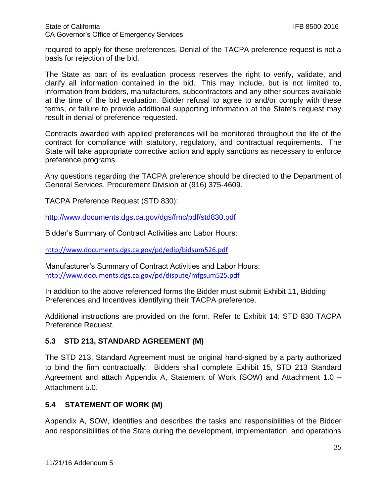required to apply for these preferences. Denial of the TACPA preference request is not a basis for rejection of the bid.

The State as part of its evaluation process reserves the right to verify, validate, and clarify all information contained in the bid. This may include, but is not limited to, information from bidders, manufacturers, subcontractors and any other sources available at the time of the bid evaluation. Bidder refusal to agree to and/or comply with these terms, or failure to provide additional supporting information at the State's request may result in denial of preference requested.

Contracts awarded with applied preferences will be monitored throughout the life of the contract for compliance with statutory, regulatory, and contractual requirements. The State will take appropriate corrective action and apply sanctions as necessary to enforce preference programs.

Any questions regarding the TACPA preference should be directed to the Department of General Services, Procurement Division at (916) 375-4609.

TACPA Preference Request (STD 830):

<http://www.documents.dgs.ca.gov/dgs/fmc/pdf/std830.pdf>

Bidder's Summary of Contract Activities and Labor Hours:

<http://www.documents.dgs.ca.gov/pd/edip/bidsum526.pdf>

Manufacturer's Summary of Contract Activities and Labor Hours: <http://www.documents.dgs.ca.gov/pd/dispute/mfgsum525.pdf>

In addition to the above referenced forms the Bidder must submit Exhibit 11, Bidding Preferences and Incentives identifying their TACPA preference.

Additional instructions are provided on the form. Refer to Exhibit 14: STD 830 TACPA Preference Request.

#### **5.3 STD 213, STANDARD AGREEMENT (M)**

The STD 213, Standard Agreement must be original hand-signed by a party authorized to bind the firm contractually. Bidders shall complete Exhibit 15, STD 213 Standard Agreement and attach Appendix A, Statement of Work (SOW) and Attachment 1.0 – Attachment 5.0.

#### **5.4 STATEMENT OF WORK (M)**

Appendix A, SOW, identifies and describes the tasks and responsibilities of the Bidder and responsibilities of the State during the development, implementation, and operations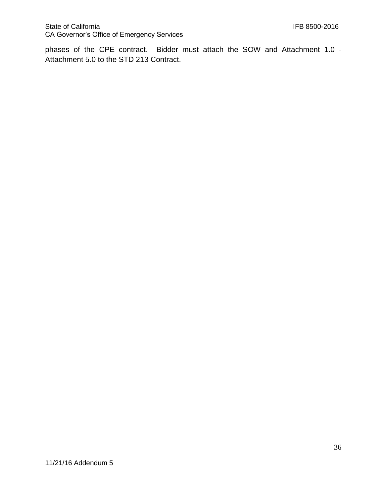phases of the CPE contract. Bidder must attach the SOW and Attachment 1.0 - Attachment 5.0 to the STD 213 Contract.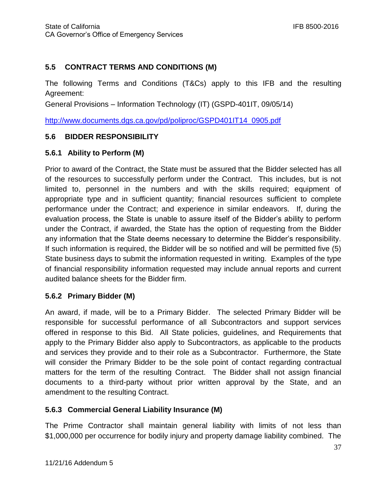### **5.5 CONTRACT TERMS AND CONDITIONS (M)**

The following Terms and Conditions (T&Cs) apply to this IFB and the resulting Agreement:

General Provisions – Information Technology (IT) (GSPD-401IT, 09/05/14)

[http://www.documents.dgs.ca.gov/pd/poliproc/GSPD401IT14\\_0905.pdf](http://www.documents.dgs.ca.gov/pd/poliproc/GSPD401IT14_0905.pdf)

#### **5.6 BIDDER RESPONSIBILITY**

#### **5.6.1 Ability to Perform (M)**

Prior to award of the Contract, the State must be assured that the Bidder selected has all of the resources to successfully perform under the Contract. This includes, but is not limited to, personnel in the numbers and with the skills required; equipment of appropriate type and in sufficient quantity; financial resources sufficient to complete performance under the Contract; and experience in similar endeavors. If, during the evaluation process, the State is unable to assure itself of the Bidder's ability to perform under the Contract, if awarded, the State has the option of requesting from the Bidder any information that the State deems necessary to determine the Bidder's responsibility. If such information is required, the Bidder will be so notified and will be permitted five (5) State business days to submit the information requested in writing. Examples of the type of financial responsibility information requested may include annual reports and current audited balance sheets for the Bidder firm.

#### **5.6.2 Primary Bidder (M)**

An award, if made, will be to a Primary Bidder. The selected Primary Bidder will be responsible for successful performance of all Subcontractors and support services offered in response to this Bid. All State policies, guidelines, and Requirements that apply to the Primary Bidder also apply to Subcontractors, as applicable to the products and services they provide and to their role as a Subcontractor. Furthermore, the State will consider the Primary Bidder to be the sole point of contact regarding contractual matters for the term of the resulting Contract. The Bidder shall not assign financial documents to a third-party without prior written approval by the State, and an amendment to the resulting Contract.

#### **5.6.3 Commercial General Liability Insurance (M)**

The Prime Contractor shall maintain general liability with limits of not less than \$1,000,000 per occurrence for bodily injury and property damage liability combined. The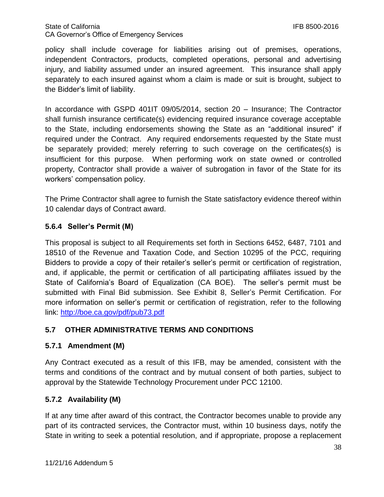#### State of California CA Governor's Office of Emergency Services

policy shall include coverage for liabilities arising out of premises, operations, independent Contractors, products, completed operations, personal and advertising injury, and liability assumed under an insured agreement. This insurance shall apply separately to each insured against whom a claim is made or suit is brought, subject to the Bidder's limit of liability.

In accordance with GSPD 401IT 09/05/2014, section 20 – Insurance; The Contractor shall furnish insurance certificate(s) evidencing required insurance coverage acceptable to the State, including endorsements showing the State as an "additional insured" if required under the Contract. Any required endorsements requested by the State must be separately provided; merely referring to such coverage on the certificates(s) is insufficient for this purpose. When performing work on state owned or controlled property, Contractor shall provide a waiver of subrogation in favor of the State for its workers' compensation policy.

The Prime Contractor shall agree to furnish the State satisfactory evidence thereof within 10 calendar days of Contract award.

### **5.6.4 Seller's Permit (M)**

This proposal is subject to all Requirements set forth in Sections 6452, 6487, 7101 and 18510 of the Revenue and Taxation Code, and Section 10295 of the PCC, requiring Bidders to provide a copy of their retailer's seller's permit or certification of registration, and, if applicable, the permit or certification of all participating affiliates issued by the State of California's Board of Equalization (CA BOE). The seller's permit must be submitted with Final Bid submission. See Exhibit 8, Seller's Permit Certification. For more information on seller's permit or certification of registration, refer to the following link:<http://boe.ca.gov/pdf/pub73.pdf>

#### **5.7 OTHER ADMINISTRATIVE TERMS AND CONDITIONS**

#### **5.7.1 Amendment (M)**

Any Contract executed as a result of this IFB, may be amended, consistent with the terms and conditions of the contract and by mutual consent of both parties, subject to approval by the Statewide Technology Procurement under PCC 12100.

#### **5.7.2 Availability (M)**

If at any time after award of this contract, the Contractor becomes unable to provide any part of its contracted services, the Contractor must, within 10 business days, notify the State in writing to seek a potential resolution, and if appropriate, propose a replacement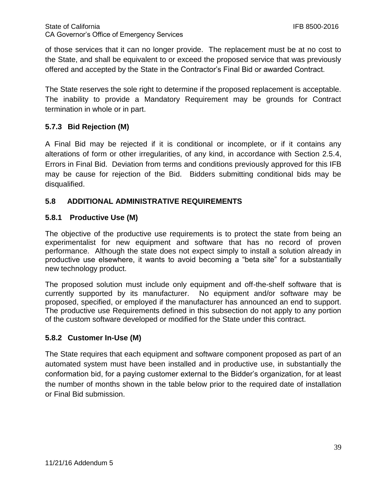of those services that it can no longer provide. The replacement must be at no cost to the State, and shall be equivalent to or exceed the proposed service that was previously offered and accepted by the State in the Contractor's Final Bid or awarded Contract.

The State reserves the sole right to determine if the proposed replacement is acceptable. The inability to provide a Mandatory Requirement may be grounds for Contract termination in whole or in part.

## **5.7.3 Bid Rejection (M)**

A Final Bid may be rejected if it is conditional or incomplete, or if it contains any alterations of form or other irregularities, of any kind, in accordance with Section 2.5.4, Errors in Final Bid. Deviation from terms and conditions previously approved for this IFB may be cause for rejection of the Bid. Bidders submitting conditional bids may be disqualified.

## **5.8 ADDITIONAL ADMINISTRATIVE REQUIREMENTS**

#### **5.8.1 Productive Use (M)**

The objective of the productive use requirements is to protect the state from being an experimentalist for new equipment and software that has no record of proven performance. Although the state does not expect simply to install a solution already in productive use elsewhere, it wants to avoid becoming a "beta site" for a substantially new technology product.

The proposed solution must include only equipment and off-the-shelf software that is currently supported by its manufacturer. No equipment and/or software may be proposed, specified, or employed if the manufacturer has announced an end to support. The productive use Requirements defined in this subsection do not apply to any portion of the custom software developed or modified for the State under this contract.

#### **5.8.2 Customer In-Use (M)**

The State requires that each equipment and software component proposed as part of an automated system must have been installed and in productive use, in substantially the conformation bid, for a paying customer external to the Bidder's organization, for at least the number of months shown in the table below prior to the required date of installation or Final Bid submission.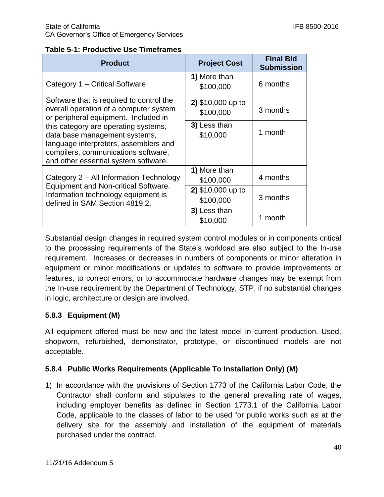#### **Table 5-1: Productive Use Timeframes**

| <b>Product</b>                                                                                                                                                                                                                                                                                                              | <b>Project Cost</b>            | <b>Final Bid</b><br><b>Submission</b> |
|-----------------------------------------------------------------------------------------------------------------------------------------------------------------------------------------------------------------------------------------------------------------------------------------------------------------------------|--------------------------------|---------------------------------------|
| Category 1 – Critical Software                                                                                                                                                                                                                                                                                              | 1) More than<br>\$100,000      | 6 months                              |
| Software that is required to control the<br>overall operation of a computer system<br>or peripheral equipment. Included in<br>this category are operating systems,<br>data base management systems,<br>language interpreters, assemblers and<br>compilers, communications software,<br>and other essential system software. | 2) \$10,000 up to<br>\$100,000 | 3 months                              |
|                                                                                                                                                                                                                                                                                                                             | 3) Less than<br>\$10,000       | 1 month                               |
| Category 2 – All Information Technology<br><b>Equipment and Non-critical Software.</b><br>Information technology equipment is<br>defined in SAM Section 4819.2.                                                                                                                                                             | 1) More than<br>\$100,000      | 4 months                              |
|                                                                                                                                                                                                                                                                                                                             | 2) \$10,000 up to<br>\$100,000 | 3 months                              |
|                                                                                                                                                                                                                                                                                                                             | 3) Less than<br>\$10,000       | 1 month                               |

Substantial design changes in required system control modules or in components critical to the processing requirements of the State's workload are also subject to the In-use requirement. Increases or decreases in numbers of components or minor alteration in equipment or minor modifications or updates to software to provide improvements or features, to correct errors, or to accommodate hardware changes may be exempt from the In-use requirement by the Department of Technology, STP, if no substantial changes in logic, architecture or design are involved.

## **5.8.3 Equipment (M)**

All equipment offered must be new and the latest model in current production. Used, shopworn, refurbished, demonstrator, prototype, or discontinued models are not acceptable.

#### **5.8.4 Public Works Requirements (Applicable To Installation Only) (M)**

1) In accordance with the provisions of Section 1773 of the California Labor Code, the Contractor shall conform and stipulates to the general prevailing rate of wages, including employer benefits as defined in Section 1773.1 of the California Labor Code, applicable to the classes of labor to be used for public works such as at the delivery site for the assembly and installation of the equipment of materials purchased under the contract.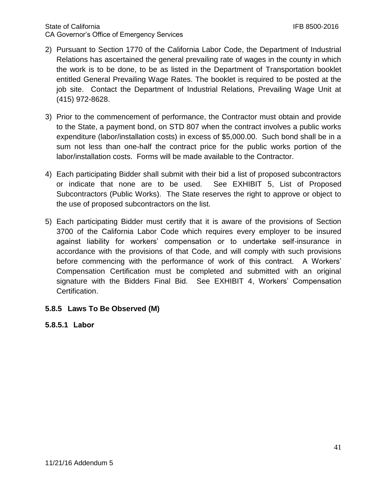- 2) Pursuant to Section 1770 of the California Labor Code, the Department of Industrial Relations has ascertained the general prevailing rate of wages in the county in which the work is to be done, to be as listed in the Department of Transportation booklet entitled General Prevailing Wage Rates. The booklet is required to be posted at the job site. Contact the Department of Industrial Relations, Prevailing Wage Unit at (415) 972-8628.
- 3) Prior to the commencement of performance, the Contractor must obtain and provide to the State, a payment bond, on STD 807 when the contract involves a public works expenditure (labor/installation costs) in excess of \$5,000.00. Such bond shall be in a sum not less than one-half the contract price for the public works portion of the labor/installation costs. Forms will be made available to the Contractor.
- 4) Each participating Bidder shall submit with their bid a list of proposed subcontractors or indicate that none are to be used. See EXHIBIT 5, List of Proposed Subcontractors (Public Works). The State reserves the right to approve or object to the use of proposed subcontractors on the list.
- 5) Each participating Bidder must certify that it is aware of the provisions of Section 3700 of the California Labor Code which requires every employer to be insured against liability for workers' compensation or to undertake self-insurance in accordance with the provisions of that Code, and will comply with such provisions before commencing with the performance of work of this contract. A Workers' Compensation Certification must be completed and submitted with an original signature with the Bidders Final Bid. See EXHIBIT 4, Workers' Compensation Certification.

#### **5.8.5 Laws To Be Observed (M)**

**5.8.5.1 Labor**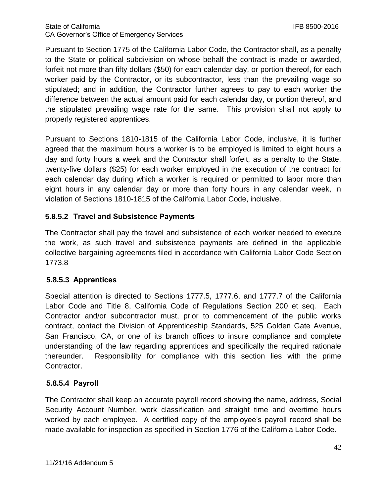Pursuant to Section 1775 of the California Labor Code, the Contractor shall, as a penalty to the State or political subdivision on whose behalf the contract is made or awarded, forfeit not more than fifty dollars (\$50) for each calendar day, or portion thereof, for each worker paid by the Contractor, or its subcontractor, less than the prevailing wage so stipulated; and in addition, the Contractor further agrees to pay to each worker the difference between the actual amount paid for each calendar day, or portion thereof, and the stipulated prevailing wage rate for the same. This provision shall not apply to properly registered apprentices.

Pursuant to Sections 1810-1815 of the California Labor Code, inclusive, it is further agreed that the maximum hours a worker is to be employed is limited to eight hours a day and forty hours a week and the Contractor shall forfeit, as a penalty to the State, twenty-five dollars (\$25) for each worker employed in the execution of the contract for each calendar day during which a worker is required or permitted to labor more than eight hours in any calendar day or more than forty hours in any calendar week, in violation of Sections 1810-1815 of the California Labor Code, inclusive.

## **5.8.5.2 Travel and Subsistence Payments**

The Contractor shall pay the travel and subsistence of each worker needed to execute the work, as such travel and subsistence payments are defined in the applicable collective bargaining agreements filed in accordance with California Labor Code Section 1773.8

## **5.8.5.3 Apprentices**

Special attention is directed to Sections 1777.5, 1777.6, and 1777.7 of the California Labor Code and Title 8, California Code of Regulations Section 200 et seq. Each Contractor and/or subcontractor must, prior to commencement of the public works contract, contact the Division of Apprenticeship Standards, 525 Golden Gate Avenue, San Francisco, CA, or one of its branch offices to insure compliance and complete understanding of the law regarding apprentices and specifically the required rationale thereunder. Responsibility for compliance with this section lies with the prime Contractor.

## **5.8.5.4 Payroll**

The Contractor shall keep an accurate payroll record showing the name, address, Social Security Account Number, work classification and straight time and overtime hours worked by each employee. A certified copy of the employee's payroll record shall be made available for inspection as specified in Section 1776 of the California Labor Code.